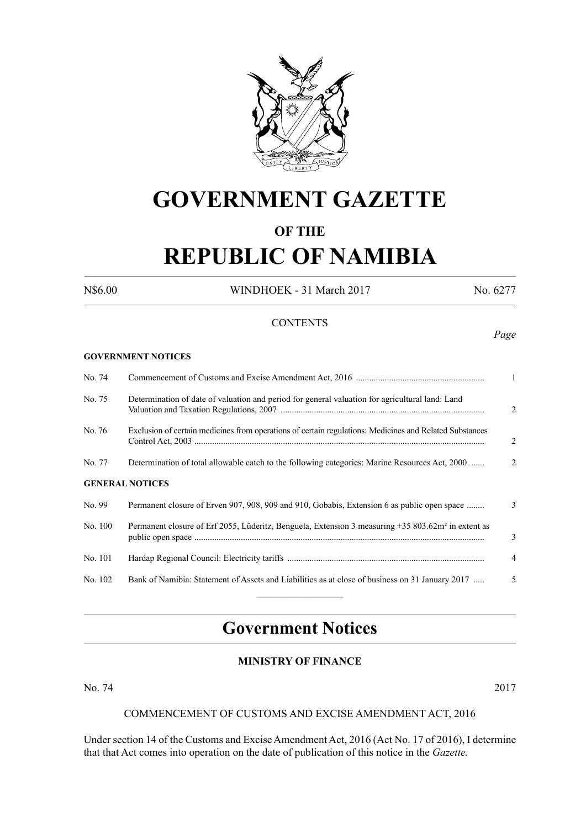

# **GOVERNMENT GAZETTE**

# **OF THE**

# **REPUBLIC OF NAMIBIA**

**GOVERNMENT NOTICES**

N\$6.00 WINDHOEK - 31 March 2017 No. 6277

# **CONTENTS**

#### *Page*

| No. 74                 |                                                                                                                     | 1              |  |  |  |
|------------------------|---------------------------------------------------------------------------------------------------------------------|----------------|--|--|--|
| No. 75                 | Determination of date of valuation and period for general valuation for agricultural land: Land                     | 2              |  |  |  |
| No. 76                 | Exclusion of certain medicines from operations of certain regulations: Medicines and Related Substances             | $\overline{2}$ |  |  |  |
| No. 77                 | Determination of total allowable catch to the following categories: Marine Resources Act, 2000                      | 2              |  |  |  |
| <b>GENERAL NOTICES</b> |                                                                                                                     |                |  |  |  |
| No. 99                 | Permanent closure of Erven 907, 908, 909 and 910, Gobabis, Extension 6 as public open space                         | 3              |  |  |  |
| No. 100                | Permanent closure of Erf 2055, Lüderitz, Benguela, Extension 3 measuring $\pm$ 35 803.62m <sup>2</sup> in extent as | 3              |  |  |  |
| No. 101                |                                                                                                                     | $\overline{4}$ |  |  |  |
| No. 102                | Bank of Namibia: Statement of Assets and Liabilities as at close of business on 31 January 2017                     | 5              |  |  |  |
|                        |                                                                                                                     |                |  |  |  |

# **Government Notices**

# **MINISTRY OF FINANCE**

No. 74 2017

#### COMMENCEMENT OF CUSTOMS AND EXCISE AMENDMENT ACT, 2016

Under section 14 of the Customs and Excise Amendment Act, 2016 (Act No. 17 of 2016), I determine that that Act comes into operation on the date of publication of this notice in the *Gazette.*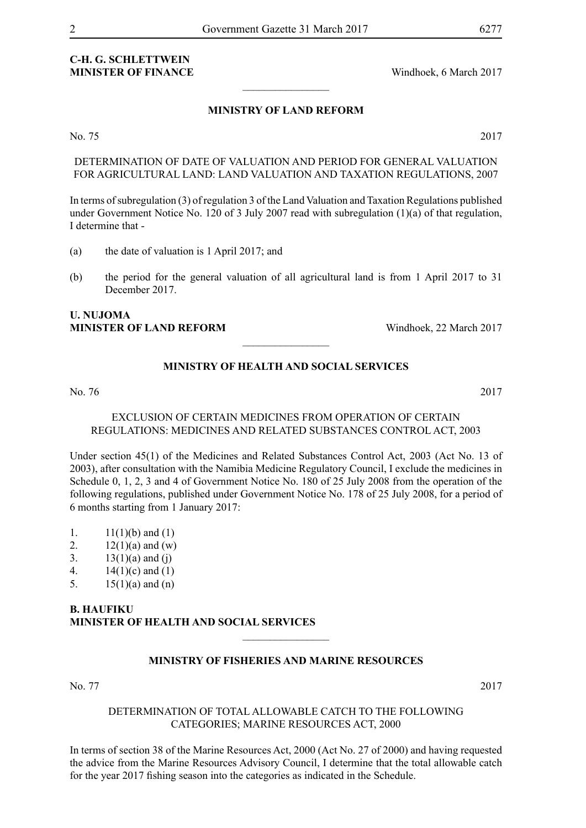# **C-H. G. Schlettwein MINISTER OF FINANCE** Windhoek, 6 March 2017

# **MINISTRY OF LAND REFORM**

 $\overline{\phantom{a}}$  , where  $\overline{\phantom{a}}$ 

No. 75 2017

DETERMINATION OF DATE OF VALUATION AND PERIOD FOR GENERAL VALUATION FOR AGRICULTURAL LAND: LAND VALUATION AND TAXATION REGULATIONS, 2007

In terms of subregulation (3) of regulation 3 of the Land Valuation and Taxation Regulations published under Government Notice No. 120 of 3 July 2007 read with subregulation (1)(a) of that regulation, I determine that -

- (a) the date of valuation is 1 April 2017; and
- (b) the period for the general valuation of all agricultural land is from 1 April 2017 to 31 December 2017.

## **U. Nujoma MINISTER OF LAND REFORM** Windhoek, 22 March 2017

# **MINISTRY OF HEALTH AND SOCIAL SERVICES**

 $\overline{\phantom{a}}$  , where  $\overline{\phantom{a}}$ 

No. 76 2017

## EXCLUSION OF CERTAIN MEDICINES FROM OPERATION OF CERTAIN REGULATIONS: MEDICINES AND RELATED SUBSTANCES CONTROL ACT, 2003

Under section 45(1) of the Medicines and Related Substances Control Act, 2003 (Act No. 13 of 2003), after consultation with the Namibia Medicine Regulatory Council, I exclude the medicines in Schedule 0, 1, 2, 3 and 4 of Government Notice No. 180 of 25 July 2008 from the operation of the following regulations, published under Government Notice No. 178 of 25 July 2008, for a period of 6 months starting from 1 January 2017:

- 1.  $11(1)(b)$  and  $(1)$
- 2.  $12(1)(a)$  and (w)
- 3.  $13(1)(a)$  and (j)
- 4.  $14(1)(c)$  and  $(1)$
- 5.  $15(1)(a)$  and  $(n)$

## **B. Haufiku Minister of Health and Social Services**

## **MINISTRY OF FISHERIES AND MARINE RESOURCES**

 $\frac{1}{2}$ 

No. 77 2017

#### DETERMINATION OF TOTAL ALLOWABLE CATCH TO THE FOLLOWING CATEGORIES; MARINE RESOURCES ACT, 2000

In terms of section 38 of the Marine Resources Act, 2000 (Act No. 27 of 2000) and having requested the advice from the Marine Resources Advisory Council, I determine that the total allowable catch for the year 2017 fishing season into the categories as indicated in the Schedule.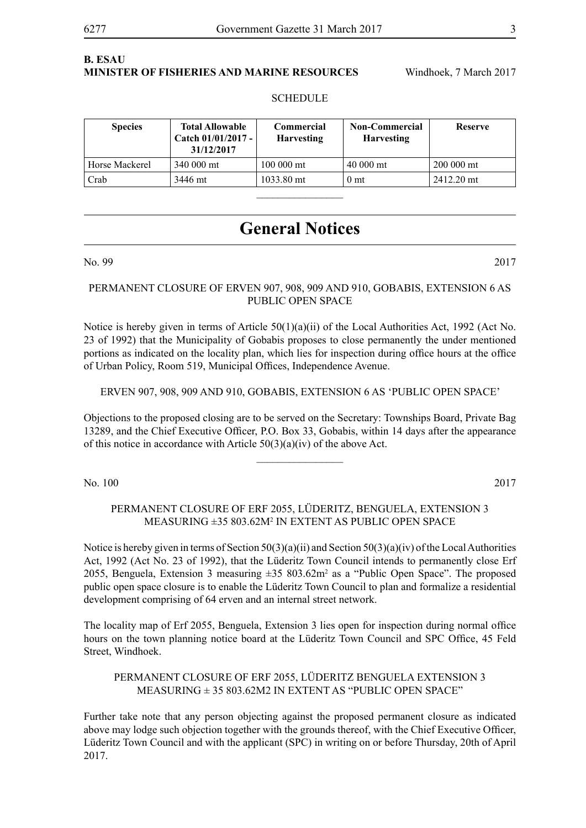# **B. Esau Minister of Fisheries and Marine Resources** Windhoek, 7 March 2017

# **SCHEDULE**

| <b>Species</b> | <b>Total Allowable</b><br>Catch 01/01/2017 -<br>31/12/2017 | Commercial<br><b>Harvesting</b> | <b>Non-Commercial</b><br><b>Harvesting</b> | <b>Reserve</b> |
|----------------|------------------------------------------------------------|---------------------------------|--------------------------------------------|----------------|
| Horse Mackerel | 340 000 mt                                                 | 100 000 mt                      | 40 000 mt                                  | 200 000 mt     |
| Crab           | 3446 mt                                                    | 1033.80 mt                      | 0 <sub>mt</sub>                            | 2412.20 mt     |
|                |                                                            |                                 |                                            |                |

# **General Notices**

No. 99 2017

#### PERMANENT CLOSURE OF ERVEN 907, 908, 909 AND 910, GOBABIS, EXTENSION 6 AS PUBLIC OPEN SPACE

Notice is hereby given in terms of Article  $50(1)(a)(ii)$  of the Local Authorities Act, 1992 (Act No. 23 of 1992) that the Municipality of Gobabis proposes to close permanently the under mentioned portions as indicated on the locality plan, which lies for inspection during office hours at the office of Urban Policy, Room 519, Municipal Offices, Independence Avenue.

#### ERVEN 907, 908, 909 AND 910, GOBABIS, EXTENSION 6 AS 'PUBLIC OPEN SPACE'

Objections to the proposed closing are to be served on the Secretary: Townships Board, Private Bag 13289, and the Chief Executive Officer, P.O. Box 33, Gobabis, within 14 days after the appearance of this notice in accordance with Article  $50(3)(a)(iv)$  of the above Act.

 $\overline{\phantom{a}}$  , where  $\overline{\phantom{a}}$ 

No. 100 2017

### PERMANENT CLOSURE OF ERF 2055, LÜDERITZ, BENGUELA, EXTENSION 3 MEASURING ±35 803.62M2 IN EXTENT AS PUBLIC OPEN SPACE

Notice is hereby given in terms of Section  $50(3)(a)(ii)$  and Section  $50(3)(a)(iv)$  of the Local Authorities Act, 1992 (Act No. 23 of 1992), that the Lüderitz Town Council intends to permanently close Erf 2055, Benguela, Extension 3 measuring  $\pm 35803.62 \text{m}^2$  as a "Public Open Space". The proposed public open space closure is to enable the Lüderitz Town Council to plan and formalize a residential development comprising of 64 erven and an internal street network.

The locality map of Erf 2055, Benguela, Extension 3 lies open for inspection during normal office hours on the town planning notice board at the Lüderitz Town Council and SPC Office, 45 Feld Street, Windhoek.

#### PERMANENT CLOSURE OF ERF 2055, LÜDERITZ BENGUELA EXTENSION 3 MEASURING  $\pm$  35 803 62M2 IN EXTENT AS "PUBLIC OPEN SPACE"

Further take note that any person objecting against the proposed permanent closure as indicated above may lodge such objection together with the grounds thereof, with the Chief Executive Officer, Lüderitz Town Council and with the applicant (SPC) in writing on or before Thursday, 20th of April 2017.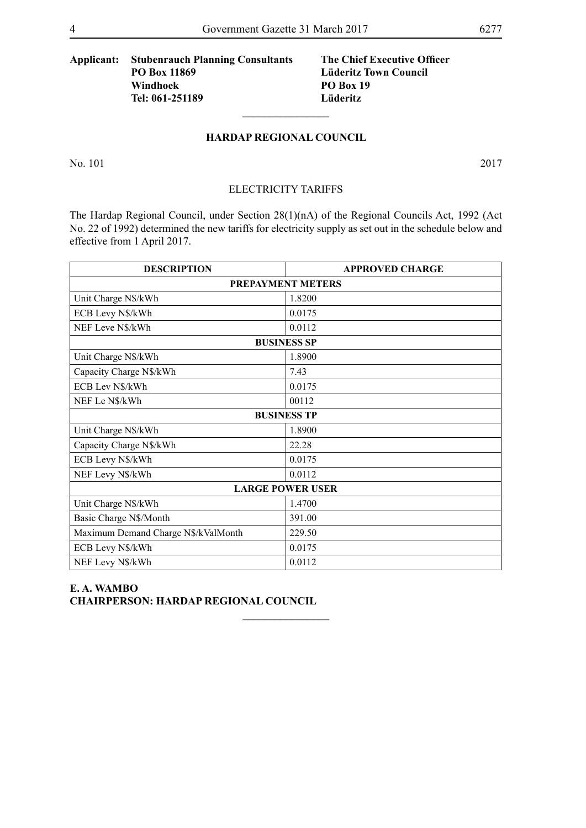# **Applicant: Stubenrauch Planning Consultants The Chief Executive Officer PO Box 11869 Lüderitz Town Council Windhoek PO Box 19 Tel: 061-251189 Lüderitz**

#### **HARDAP REGIONAL COUNCIL**

 $\overline{\phantom{a}}$  , where  $\overline{\phantom{a}}$ 

No. 101 2017

#### ELECTRICITY TARIFFS

The Hardap Regional Council, under Section 28(1)(nA) of the Regional Councils Act, 1992 (Act No. 22 of 1992) determined the new tariffs for electricity supply as set out in the schedule below and effective from 1 April 2017.

| <b>DESCRIPTION</b>                  | <b>APPROVED CHARGE</b> |  |  |  |  |
|-------------------------------------|------------------------|--|--|--|--|
| <b>PREPAYMENT METERS</b>            |                        |  |  |  |  |
| Unit Charge N\$/kWh                 | 1.8200                 |  |  |  |  |
| ECB Levy N\$/kWh                    | 0.0175                 |  |  |  |  |
| NEF Leve N\$/kWh                    | 0.0112                 |  |  |  |  |
| <b>BUSINESS SP</b>                  |                        |  |  |  |  |
| Unit Charge N\$/kWh                 | 1.8900                 |  |  |  |  |
| Capacity Charge N\$/kWh             | 7.43                   |  |  |  |  |
| ECB Lev N\$/kWh                     | 0.0175                 |  |  |  |  |
| NEF Le N\$/kWh                      | 00112                  |  |  |  |  |
| <b>BUSINESS TP</b>                  |                        |  |  |  |  |
| Unit Charge N\$/kWh                 | 1.8900                 |  |  |  |  |
| Capacity Charge N\$/kWh             | 22.28                  |  |  |  |  |
| ECB Levy N\$/kWh                    | 0.0175                 |  |  |  |  |
| NEF Levy N\$/kWh                    | 0.0112                 |  |  |  |  |
| <b>LARGE POWER USER</b>             |                        |  |  |  |  |
| Unit Charge N\$/kWh                 | 1.4700                 |  |  |  |  |
| Basic Charge N\$/Month              | 391.00                 |  |  |  |  |
| Maximum Demand Charge N\$/kValMonth | 229.50                 |  |  |  |  |
| ECB Levy N\$/kWh                    | 0.0175                 |  |  |  |  |
| NEF Levy N\$/kWh                    | 0.0112                 |  |  |  |  |

 $\frac{1}{2}$ 

#### **E. A. WAMBO CHAIRPERSON: HARDAP REGIONAL COUNCIL**